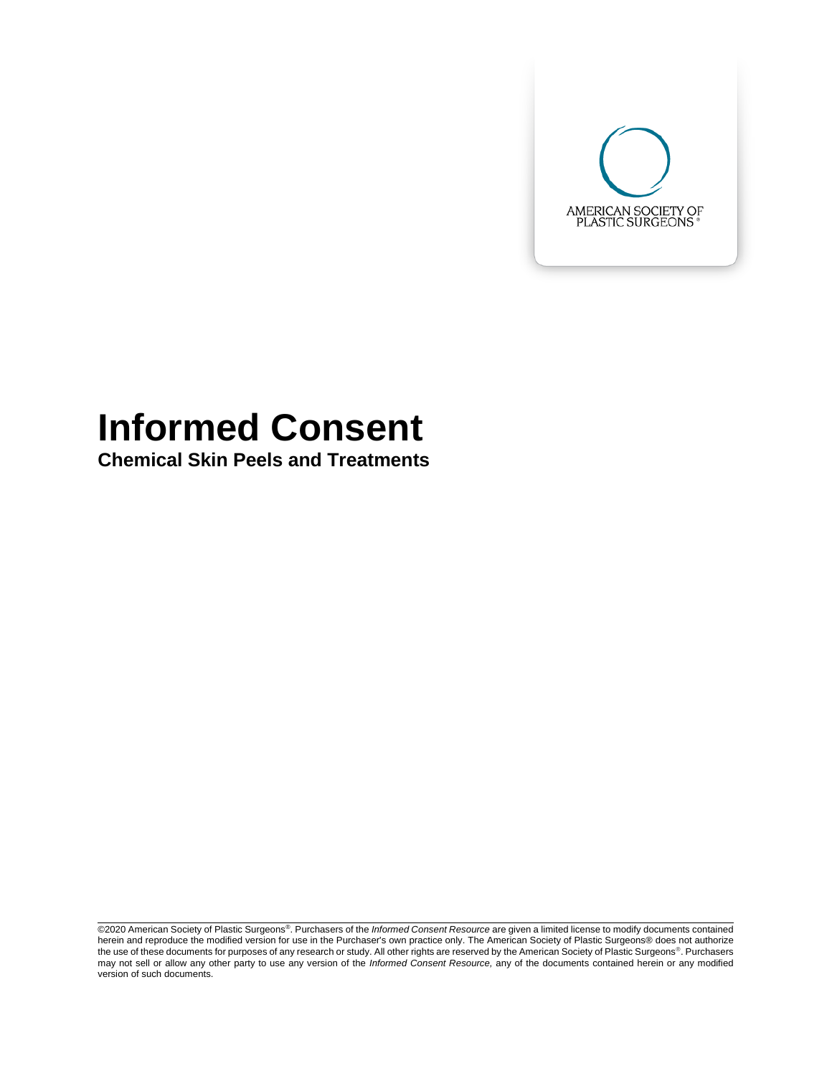

# **Informed Consent**

**Chemical Skin Peels and Treatments**

©2020 American Society of Plastic Surgeons®. Purchasers of the *Informed Consent Resource* are given a limited license to modify documents contained herein and reproduce the modified version for use in the Purchaser's own practice only. The American Society of Plastic Surgeons® does not authorize the use of these documents for purposes of any research or study. All other rights are reserved by the American Society of Plastic Surgeons®. Purchasers may not sell or allow any other party to use any version of the *Informed Consent Resource,* any of the documents contained herein or any modified version of such documents.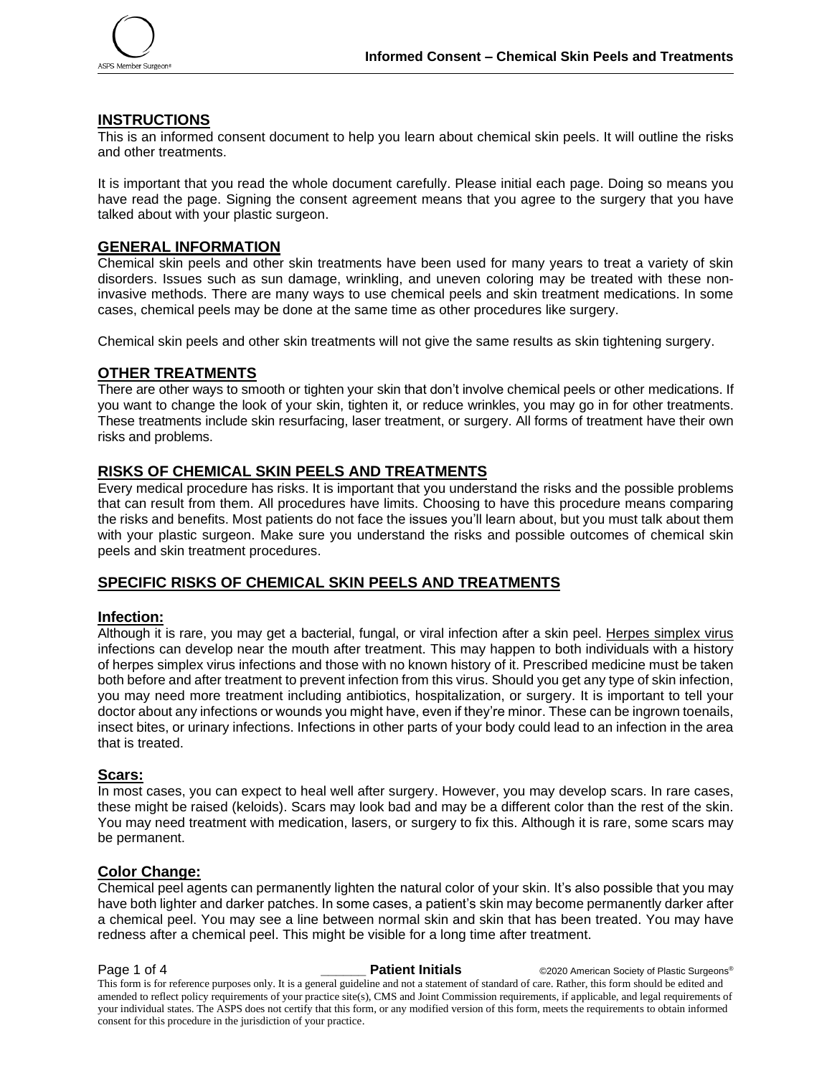

## **INSTRUCTIONS**

This is an informed consent document to help you learn about chemical skin peels. It will outline the risks and other treatments.

It is important that you read the whole document carefully. Please initial each page. Doing so means you have read the page. Signing the consent agreement means that you agree to the surgery that you have talked about with your plastic surgeon.

# **GENERAL INFORMATION**

Chemical skin peels and other skin treatments have been used for many years to treat a variety of skin disorders. Issues such as sun damage, wrinkling, and uneven coloring may be treated with these noninvasive methods. There are many ways to use chemical peels and skin treatment medications. In some cases, chemical peels may be done at the same time as other procedures like surgery.

Chemical skin peels and other skin treatments will not give the same results as skin tightening surgery.

# **OTHER TREATMENTS**

There are other ways to smooth or tighten your skin that don't involve chemical peels or other medications. If you want to change the look of your skin, tighten it, or reduce wrinkles, you may go in for other treatments. These treatments include skin resurfacing, laser treatment, or surgery. All forms of treatment have their own risks and problems.

# **RISKS OF CHEMICAL SKIN PEELS AND TREATMENTS**

Every medical procedure has risks. It is important that you understand the risks and the possible problems that can result from them. All procedures have limits. Choosing to have this procedure means comparing the risks and benefits. Most patients do not face the issues you'll learn about, but you must talk about them with your plastic surgeon. Make sure you understand the risks and possible outcomes of chemical skin peels and skin treatment procedures.

# **SPECIFIC RISKS OF CHEMICAL SKIN PEELS AND TREATMENTS**

#### **Infection:**

Although it is rare, you may get a bacterial, fungal, or viral infection after a skin peel. Herpes simplex virus infections can develop near the mouth after treatment. This may happen to both individuals with a history of herpes simplex virus infections and those with no known history of it. Prescribed medicine must be taken both before and after treatment to prevent infection from this virus. Should you get any type of skin infection, you may need more treatment including antibiotics, hospitalization, or surgery. It is important to tell your doctor about any infections or wounds you might have, even if they're minor. These can be ingrown toenails, insect bites, or urinary infections. Infections in other parts of your body could lead to an infection in the area that is treated.

#### **Scars:**

In most cases, you can expect to heal well after surgery. However, you may develop scars. In rare cases, these might be raised (keloids). Scars may look bad and may be a different color than the rest of the skin. You may need treatment with medication, lasers, or surgery to fix this. Although it is rare, some scars may be permanent.

# **Color Change:**

Chemical peel agents can permanently lighten the natural color of your skin. It's also possible that you may have both lighter and darker patches. In some cases, a patient's skin may become permanently darker after a chemical peel. You may see a line between normal skin and skin that has been treated. You may have redness after a chemical peel. This might be visible for a long time after treatment.

**Page 1 of 4 and COV COVERTS 2000 Patient Initials C2020** American Society of Plastic Surgeons® This form is for reference purposes only. It is a general guideline and not a statement of standard of care. Rather, this form should be edited and amended to reflect policy requirements of your practice site(s), CMS and Joint Commission requirements, if applicable, and legal requirements of your individual states. The ASPS does not certify that this form, or any modified version of this form, meets the requirements to obtain informed consent for this procedure in the jurisdiction of your practice.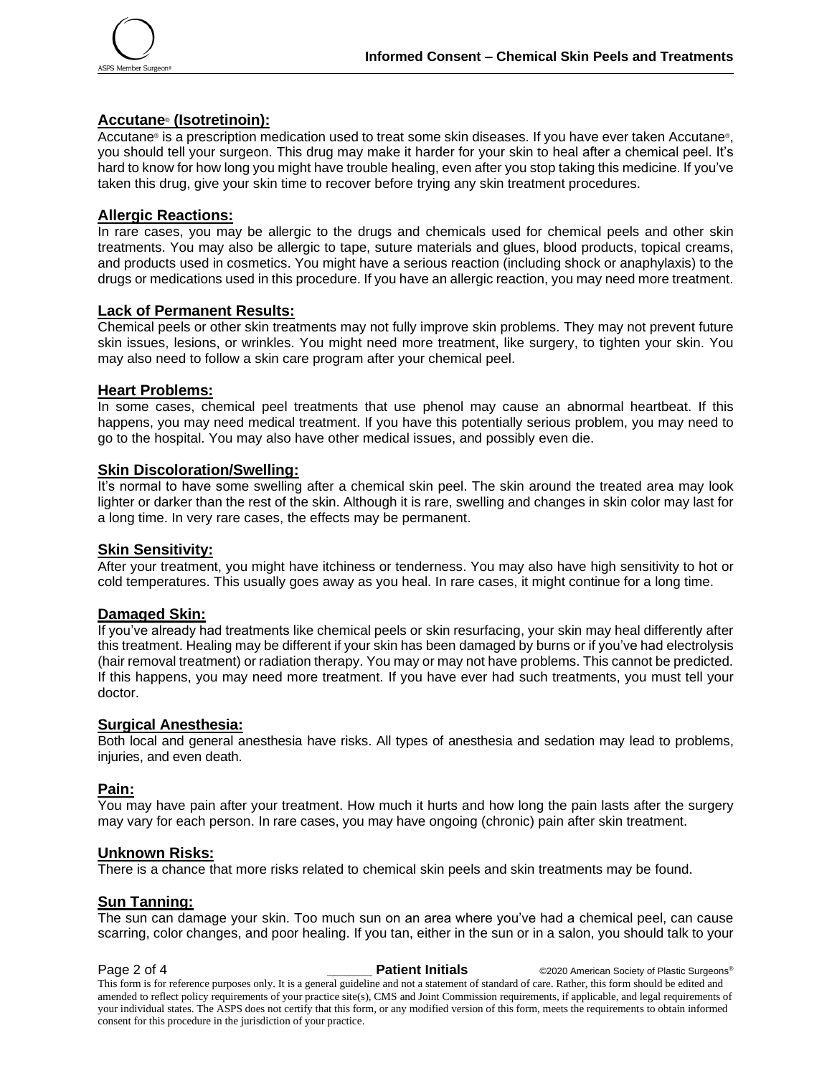

## **Accutane**® **(Isotretinoin):**

Accutane® is a prescription medication used to treat some skin diseases. If you have ever taken Accutane®, you should tell your surgeon. This drug may make it harder for your skin to heal after a chemical peel. It's hard to know for how long you might have trouble healing, even after you stop taking this medicine. If you've taken this drug, give your skin time to recover before trying any skin treatment procedures.

## **Allergic Reactions:**

In rare cases, you may be allergic to the drugs and chemicals used for chemical peels and other skin treatments. You may also be allergic to tape, suture materials and glues, blood products, topical creams, and products used in cosmetics. You might have a serious reaction (including shock or anaphylaxis) to the drugs or medications used in this procedure. If you have an allergic reaction, you may need more treatment.

## **Lack of Permanent Results:**

Chemical peels or other skin treatments may not fully improve skin problems. They may not prevent future skin issues, lesions, or wrinkles. You might need more treatment, like surgery, to tighten your skin. You may also need to follow a skin care program after your chemical peel.

#### **Heart Problems:**

In some cases, chemical peel treatments that use phenol may cause an abnormal heartbeat. If this happens, you may need medical treatment. If you have this potentially serious problem, you may need to go to the hospital. You may also have other medical issues, and possibly even die.

## **Skin Discoloration/Swelling:**

It's normal to have some swelling after a chemical skin peel. The skin around the treated area may look lighter or darker than the rest of the skin. Although it is rare, swelling and changes in skin color may last for a long time. In very rare cases, the effects may be permanent.

#### **Skin Sensitivity:**

After your treatment, you might have itchiness or tenderness. You may also have high sensitivity to hot or cold temperatures. This usually goes away as you heal. In rare cases, it might continue for a long time.

#### **Damaged Skin:**

If you've already had treatments like chemical peels or skin resurfacing, your skin may heal differently after this treatment. Healing may be different if your skin has been damaged by burns or if you've had electrolysis (hair removal treatment) or radiation therapy. You may or may not have problems. This cannot be predicted. If this happens, you may need more treatment. If you have ever had such treatments, you must tell your doctor.

#### **Surgical Anesthesia:**

Both local and general anesthesia have risks. All types of anesthesia and sedation may lead to problems, injuries, and even death.

# **Pain:**

You may have pain after your treatment. How much it hurts and how long the pain lasts after the surgery may vary for each person. In rare cases, you may have ongoing (chronic) pain after skin treatment.

#### **Unknown Risks:**

There is a chance that more risks related to chemical skin peels and skin treatments may be found.

#### **Sun Tanning:**

The sun can damage your skin. Too much sun on an area where you've had a chemical peel, can cause scarring, color changes, and poor healing. If you tan, either in the sun or in a salon, you should talk to your

**Page 2 of 4 and COV COVERTY COVERTY Partient Initials C2020** American Society of Plastic Surgeons® This form is for reference purposes only. It is a general guideline and not a statement of standard of care. Rather, this form should be edited and amended to reflect policy requirements of your practice site(s), CMS and Joint Commission requirements, if applicable, and legal requirements of your individual states. The ASPS does not certify that this form, or any modified version of this form, meets the requirements to obtain informed consent for this procedure in the jurisdiction of your practice.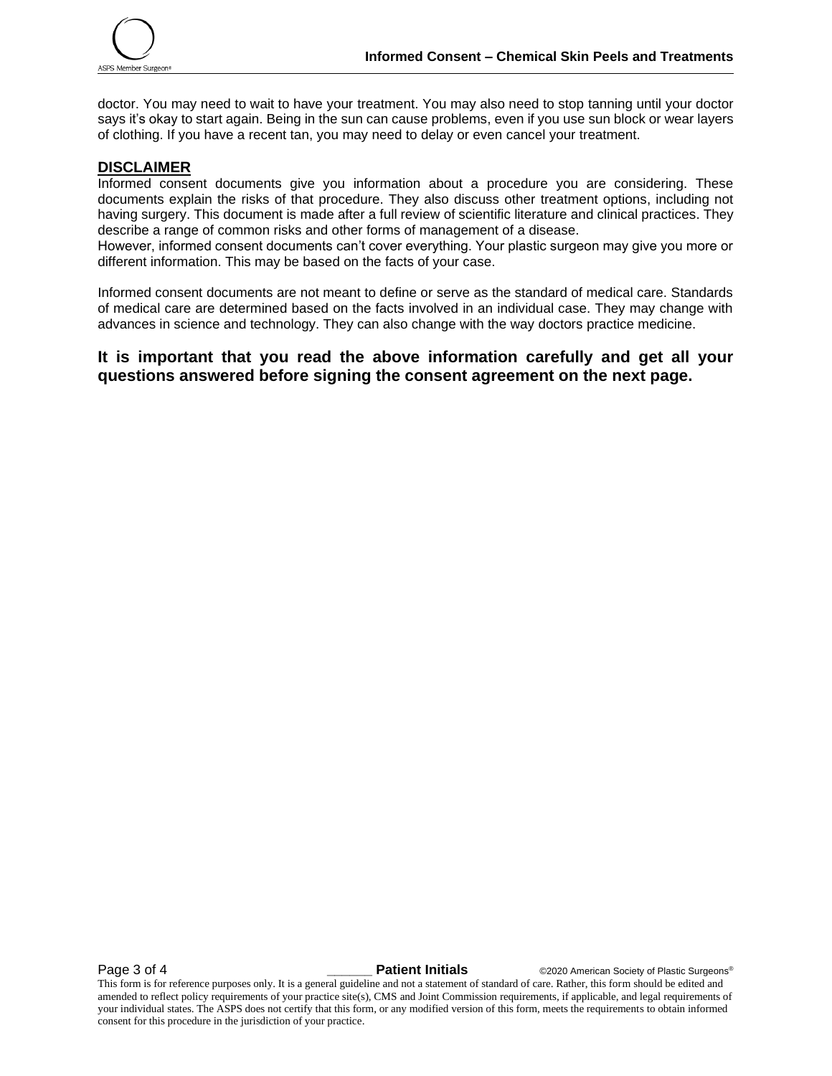

doctor. You may need to wait to have your treatment. You may also need to stop tanning until your doctor says it's okay to start again. Being in the sun can cause problems, even if you use sun block or wear layers of clothing. If you have a recent tan, you may need to delay or even cancel your treatment.

# **DISCLAIMER**

Informed consent documents give you information about a procedure you are considering. These documents explain the risks of that procedure. They also discuss other treatment options, including not having surgery. This document is made after a full review of scientific literature and clinical practices. They describe a range of common risks and other forms of management of a disease.

However, informed consent documents can't cover everything. Your plastic surgeon may give you more or different information. This may be based on the facts of your case.

Informed consent documents are not meant to define or serve as the standard of medical care. Standards of medical care are determined based on the facts involved in an individual case. They may change with advances in science and technology. They can also change with the way doctors practice medicine.

**It is important that you read the above information carefully and get all your questions answered before signing the consent agreement on the next page.**

**Page 3 of 4** *Letters Concerner Concerner Patient Initials* **Concerners Concerners Concerners Concerners Concerners Concerners Concerners Concerners Concerners Concerners Concerners Concerners Concerners Concerners Conce** 

This form is for reference purposes only. It is a general guideline and not a statement of standard of care. Rather, this form should be edited and amended to reflect policy requirements of your practice site(s), CMS and Joint Commission requirements, if applicable, and legal requirements of your individual states. The ASPS does not certify that this form, or any modified version of this form, meets the requirements to obtain informed consent for this procedure in the jurisdiction of your practice.